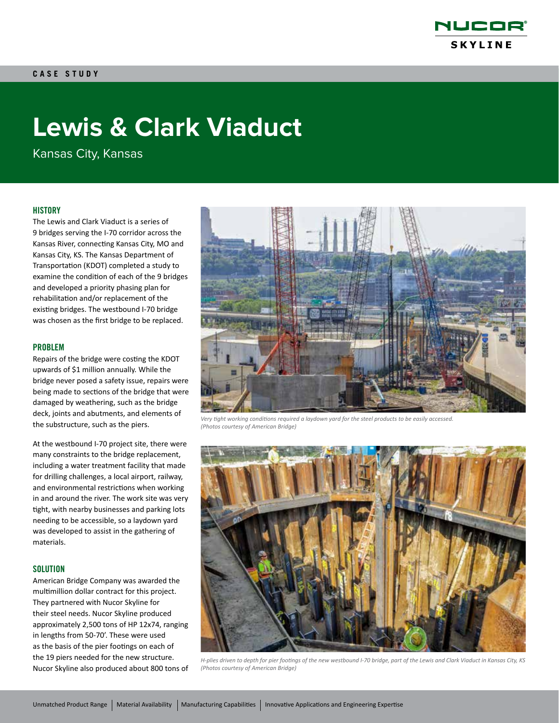

# **Lewis & Clark Viaduct**

Kansas City, Kansas

# **HISTORY**

The Lewis and Clark Viaduct is a series of 9 bridges serving the I-70 corridor across the Kansas River, connecting Kansas City, MO and Kansas City, KS. The Kansas Department of Transportation (KDOT) completed a study to examine the condition of each of the 9 bridges and developed a priority phasing plan for rehabilitation and/or replacement of the existing bridges. The westbound I-70 bridge was chosen as the first bridge to be replaced.

#### PROBLEM

Repairs of the bridge were costing the KDOT upwards of \$1 million annually. While the bridge never posed a safety issue, repairs were being made to sections of the bridge that were damaged by weathering, such as the bridge deck, joints and abutments, and elements of the substructure, such as the piers.

At the westbound I-70 project site, there were many constraints to the bridge replacement, including a water treatment facility that made for drilling challenges, a local airport, railway, and environmental restrictions when working in and around the river. The work site was very tight, with nearby businesses and parking lots needing to be accessible, so a laydown yard was developed to assist in the gathering of materials.

#### **SOLUTION**

American Bridge Company was awarded the multimillion dollar contract for this project. They partnered with Nucor Skyline for their steel needs. Nucor Skyline produced approximately 2,500 tons of HP 12x74, ranging in lengths from 50-70'. These were used as the basis of the pier footings on each of the 19 piers needed for the new structure. Nucor Skyline also produced about 800 tons of



*Very tight working conditions required a laydown yard for the steel products to be easily accessed. (Photos courtesy of American Bridge)*



*H-plies driven to depth for pier footings of the new westbound I-70 bridge, part of the Lewis and Clark Viaduct in Kansas City, KS (Photos courtesy of American Bridge)*